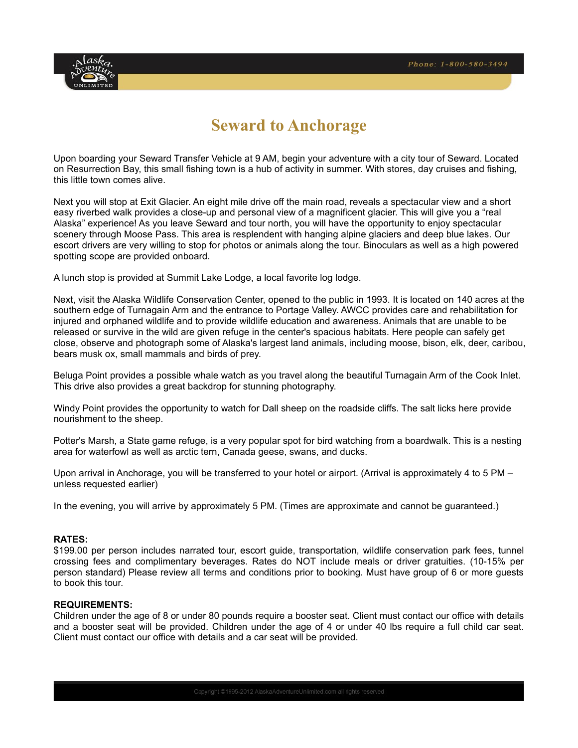

# **Seward to Anchorage**

Upon boarding your Seward Transfer Vehicle at 9 AM, begin your adventure with a city tour of Seward. Located on Resurrection Bay, this small fishing town is a hub of activity in summer. With stores, day cruises and fishing, this little town comes alive.

Next you will stop at Exit Glacier. An eight mile drive off the main road, reveals a spectacular view and a short easy riverbed walk provides a close-up and personal view of a magnificent glacier. This will give you a "real Alaska" experience! As you leave Seward and tour north, you will have the opportunity to enjoy spectacular scenery through Moose Pass. This area is resplendent with hanging alpine glaciers and deep blue lakes. Our escort drivers are very willing to stop for photos or animals along the tour. Binoculars as well as a high powered spotting scope are provided onboard.

A lunch stop is provided at Summit Lake Lodge, a local favorite log lodge.

Next, visit the Alaska Wildlife Conservation Center, opened to the public in 1993. It is located on 140 acres at the southern edge of Turnagain Arm and the entrance to Portage Valley. AWCC provides care and rehabilitation for injured and orphaned wildlife and to provide wildlife education and awareness. Animals that are unable to be released or survive in the wild are given refuge in the center's spacious habitats. Here people can safely get close, observe and photograph some of Alaska's largest land animals, including moose, bison, elk, deer, caribou, bears musk ox, small mammals and birds of prey.

Beluga Point provides a possible whale watch as you travel along the beautiful Turnagain Arm of the Cook Inlet. This drive also provides a great backdrop for stunning photography.

Windy Point provides the opportunity to watch for Dall sheep on the roadside cliffs. The salt licks here provide nourishment to the sheep.

Potter's Marsh, a State game refuge, is a very popular spot for bird watching from a boardwalk. This is a nesting area for waterfowl as well as arctic tern, Canada geese, swans, and ducks.

Upon arrival in Anchorage, you will be transferred to your hotel or airport. (Arrival is approximately 4 to 5 PM – unless requested earlier)

In the evening, you will arrive by approximately 5 PM. (Times are approximate and cannot be guaranteed.)

#### **RATES:**

\$199.00 per person includes narrated tour, escort guide, transportation, wildlife conservation park fees, tunnel crossing fees and complimentary beverages. Rates do NOT include meals or driver gratuities. (10-15% per person standard) Please review all terms and conditions prior to booking. Must have group of 6 or more guests to book this tour.

#### **REQUIREMENTS:**

Children under the age of 8 or under 80 pounds require a booster seat. Client must contact our office with details and a booster seat will be provided. Children under the age of 4 or under 40 lbs require a full child car seat. Client must contact our office with details and a car seat will be provided.